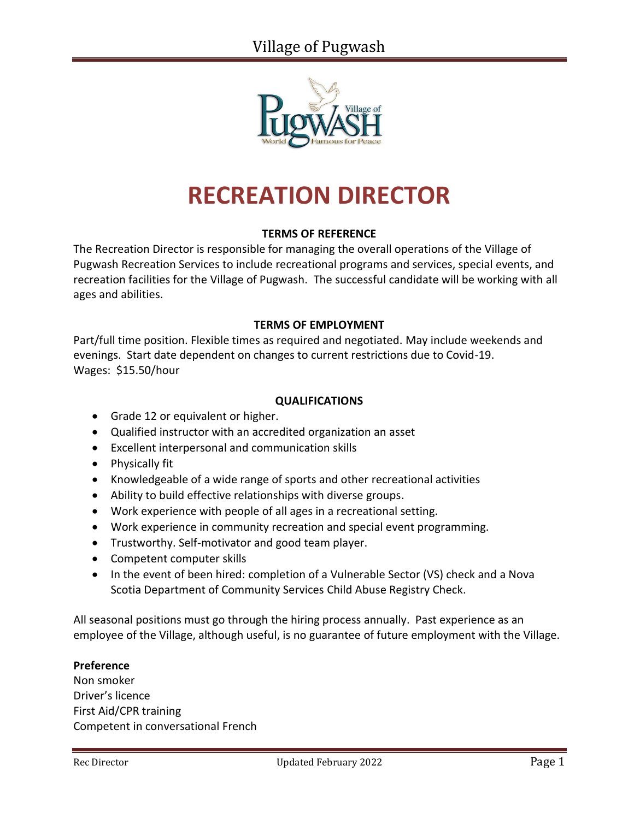

# **RECREATION DIRECTOR**

## **TERMS OF REFERENCE**

The Recreation Director is responsible for managing the overall operations of the Village of Pugwash Recreation Services to include recreational programs and services, special events, and recreation facilities for the Village of Pugwash. The successful candidate will be working with all ages and abilities.

#### **TERMS OF EMPLOYMENT**

Part/full time position. Flexible times as required and negotiated. May include weekends and evenings. Start date dependent on changes to current restrictions due to Covid-19. Wages: \$15.50/hour

## **QUALIFICATIONS**

- Grade 12 or equivalent or higher.
- Qualified instructor with an accredited organization an asset
- Excellent interpersonal and communication skills
- Physically fit
- Knowledgeable of a wide range of sports and other recreational activities
- Ability to build effective relationships with diverse groups.
- Work experience with people of all ages in a recreational setting.
- Work experience in community recreation and special event programming.
- Trustworthy. Self-motivator and good team player.
- Competent computer skills
- In the event of been hired: completion of a Vulnerable Sector (VS) check and a Nova Scotia Department of Community Services Child Abuse Registry Check.

All seasonal positions must go through the hiring process annually. Past experience as an employee of the Village, although useful, is no guarantee of future employment with the Village.

#### **Preference**

Non smoker Driver's licence First Aid/CPR training Competent in conversational French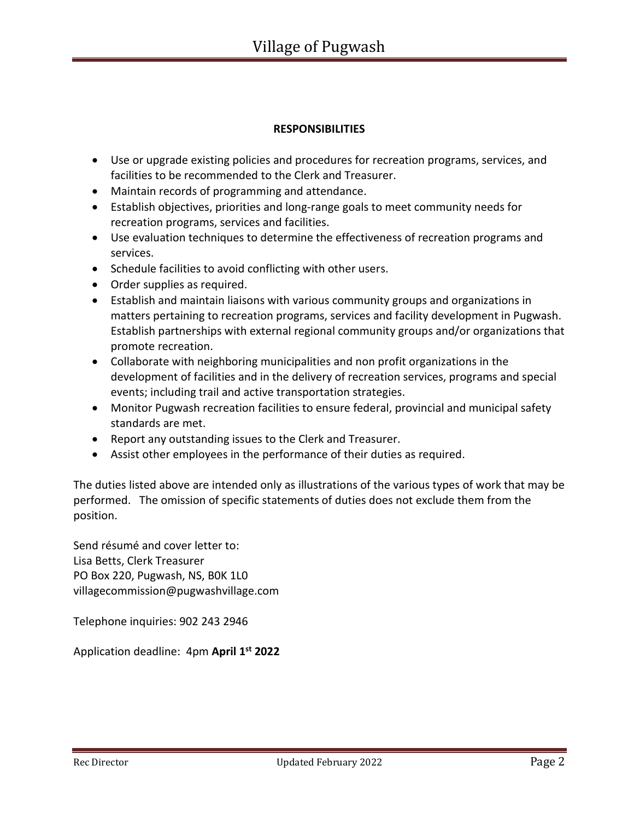# **RESPONSIBILITIES**

- Use or upgrade existing policies and procedures for recreation programs, services, and facilities to be recommended to the Clerk and Treasurer.
- Maintain records of programming and attendance.
- Establish objectives, priorities and long-range goals to meet community needs for recreation programs, services and facilities.
- Use evaluation techniques to determine the effectiveness of recreation programs and services.
- Schedule facilities to avoid conflicting with other users.
- Order supplies as required.
- Establish and maintain liaisons with various community groups and organizations in matters pertaining to recreation programs, services and facility development in Pugwash. Establish partnerships with external regional community groups and/or organizations that promote recreation.
- Collaborate with neighboring municipalities and non profit organizations in the development of facilities and in the delivery of recreation services, programs and special events; including trail and active transportation strategies.
- Monitor Pugwash recreation facilities to ensure federal, provincial and municipal safety standards are met.
- Report any outstanding issues to the Clerk and Treasurer.
- Assist other employees in the performance of their duties as required.

The duties listed above are intended only as illustrations of the various types of work that may be performed. The omission of specific statements of duties does not exclude them from the position.

Send résumé and cover letter to: Lisa Betts, Clerk Treasurer PO Box 220, Pugwash, NS, B0K 1L0 [villagecommission@pugwashvillage.com](mailto:villagecommission@pugwashvillage.com)

Telephone inquiries: 902 243 2946

Application deadline: 4pm **April 1 st 2022**